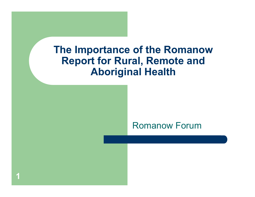#### **The Importance of the Romanow Report for Rural, Remote and Aboriginal Health**

#### Romanow Forum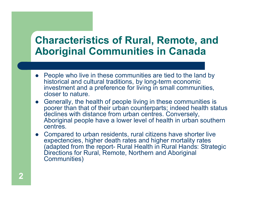#### **Characteristics of Rural, Remote, and Aboriginal Communities in Canada**

- People who live in these communities are tied to the land by historical and cultural traditions, by long-term economic investment and a preference for living in small communities, closer to nature.
- Generally, the health of people living in these communities is poorer than that of their urban counterparts; indeed health status declines with distance from urban centres. Conversely, Aboriginal people have a lower level of health in urban southern centres.
- Compared to urban residents, rural citizens have shorter live expectencies, higher death rates and higher mortality rates (adapted from the report- Rural Health in Rural Hands: Strategic Directions for Rural, Remote, Northern and Aboriginal Communities)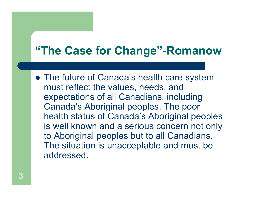# **"The Case for Change"-Romanow**

• The future of Canada's health care system must reflect the values, needs, and expectations of all Canadians, including Canada's Aboriginal peoples. The poor health status of Canada's Aboriginal peoples is well known and a serious concern not only to Aboriginal peoples but to all Canadians. The situation is unacceptable and must be addressed.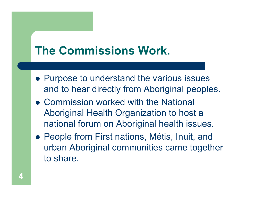# **The Commissions Work.**

- Purpose to understand the various issues and to hear directly from Aboriginal peoples.
- Commission worked with the National Aboriginal Health Organization to host a national forum on Aboriginal health issues.
- People from First nations, Métis, Inuit, and urban Aboriginal communities came together to share.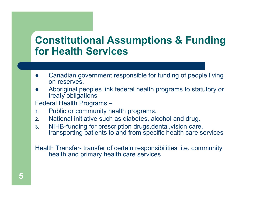#### **Constitutional Assumptions & Funding for Health Services**

- $\bullet$  Canadian government responsible for funding of people living on reserves.
- $\bullet$  Aboriginal peoples link federal health programs to statutory or treaty obligations

Federal Health Programs –

- 1.Public or community health programs.
- 2.National initiative such as diabetes, alcohol and drug.
- 3. NIHB-funding for prescription drugs,dental,vision care, transporting patients to and from specific health care services

Health Transfer- transfer of certain responsibilities i.e. community health and primary health care services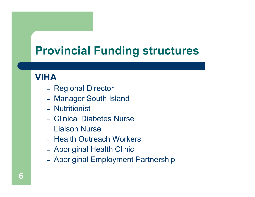# **Provincial Funding structures**

#### **VIHA**

- Regional Director
- Manager South Island
- Nutritionist
- Clinical Diabetes Nurse
- Liaison Nurse
- Health Outreach Workers
- Aboriginal Health Clinic
- Aboriginal Employment Partnership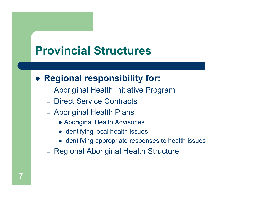# **Provincial Structures**

#### $\bullet$ **Regional responsibility for:**

- Aboriginal Health Initiative Program
- Direct Service Contracts
- Aboriginal Health Plans
	- Aboriginal Health Advisories
	- Identifying local health issues
	- Identifying appropriate responses to health issues
- Regional Aboriginal Health Structure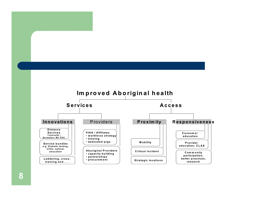

**8**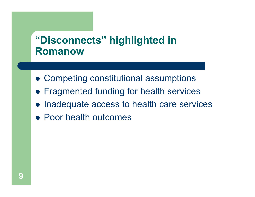#### **"Disconnects" highlighted in Romanow**

- **Competing constitutional assumptions**
- **Fragmented funding for health services**
- $\bullet$ Inadequate access to health care services
- Poor health outcomes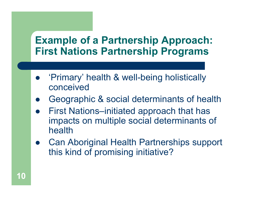#### **Example of a Partnership Approach: First Nations Partnership Programs**

- $\bullet$  'Primary' health & well-being holistically conceived
- $\bullet$ Geographic & social determinants of health
- $\bullet$  First Nations–initiated approach that has impacts on multiple social determinants of health
- $\bullet$  Can Aboriginal Health Partnerships support this kind of promising initiative?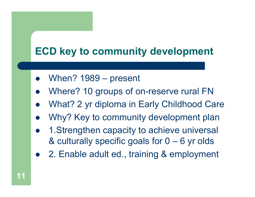## **ECD key to community development**

- $\bullet$ When? 1989 – present
- $\bullet$ Where? 10 groups of on-reserve rural FN
- $\bullet$ What? 2 yr diploma in Early Childhood Care
- $\bullet$ Why? Key to community development plan
- $\bullet$  1.Strengthen capacity to achieve universal & culturally specific goals for 0 – 6 yr olds
- $\bullet$ 2. Enable adult ed., training & employment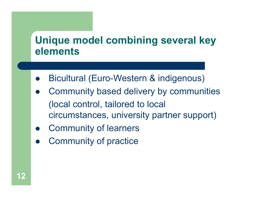#### **Unique model combining several key elements**

- $\bullet$ Bicultural (Euro-Western & indigenous)
- $\bullet$  Community based delivery by communities (local control, tailored to local circumstances, university partner support)
- $\bullet$ Community of learners
- $\bullet$ Community of practice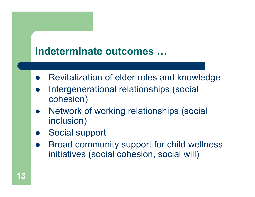#### **Indeterminate outcomes …**

- $\bullet$ Revitalization of elder roles and knowledge
- $\bullet$  Intergenerational relationships (social cohesion)
- $\bullet$  Network of working relationships (social inclusion)
- $\bullet$ Social support
- $\bullet$  Broad community support for child wellness initiatives (social cohesion, social will)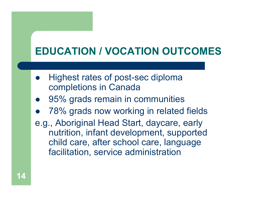# **EDUCATION / VOCATION OUTCOMES**

- $\bullet$  Highest rates of post-sec diploma completions in Canada
- $\bullet$ 95% grads remain in communities
- $\bullet$ 78% grads now working in related fields
- e.g., Aboriginal Head Start, daycare, early nutrition, infant development, supported child care, after school care, language facilitation, service administration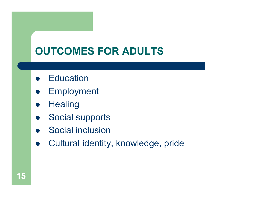# **OUTCOMES FOR ADULTS**

- **•** Education
- $\bullet$ Employment
- $\bullet$ **Healing**
- $\bullet$ Social supports
- Social inclusion
- $\bullet$ Cultural identity, knowledge, pride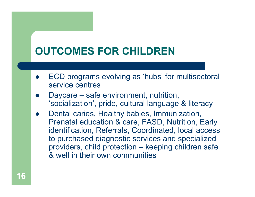# **OUTCOMES FOR CHILDREN**

- $\bullet$  ECD programs evolving as 'hubs' for multisectoral service centres
- $\bullet$  Daycare – safe environment, nutrition, 'socialization', pride, cultural language & literacy
- $\bullet$  Dental caries, Healthy babies, Immunization, Prenatal education & care, FASD, Nutrition, Early identification, Referrals, Coordinated, local access to purchased diagnostic services and specialized providers, child protection – keeping children safe & well in their own communities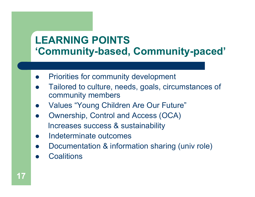## **LEARNING POINTS'Community-based, Community-paced'**

- $\bullet$ Priorities for community development
- $\bullet$  Tailored to culture, needs, goals, circumstances of community members
- $\bullet$ Values "Young Children Are Our Future"
- $\bullet$  Ownership, Control and Access (OCA) Increases success & sustainability
- $\bullet$ Indeterminate outcomes
- $\bullet$ Documentation & information sharing (univ role)
- $\bullet$ **Coalitions**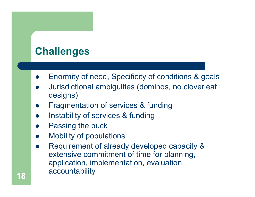## **Challenges**

- $\bullet$ Enormity of need, Specificity of conditions & goals
- $\bullet$  Jurisdictional ambiguities (dominos, no cloverleaf designs)
- $\bullet$ Fragmentation of services & funding
- $\bullet$ Instability of services & funding
- $\bullet$ Passing the buck
- $\bullet$ Mobility of populations
- $\bullet$  Requirement of already developed capacity & extensive commitment of time for planning, application, implementation, evaluation, accountability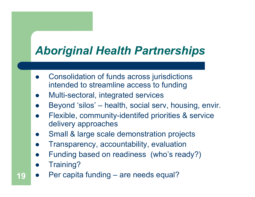# *Aboriginal Health Partnerships*

- $\bullet$  Consolidation of funds across jurisdictions intended to streamline access to funding
- $\bullet$ Multi-sectoral, integrated services
- $\bullet$ Beyond 'silos' – health, social serv, housing, envir.
- $\bullet$  Flexible, community-identifed priorities & service delivery approaches
- $\bullet$ Small & large scale demonstration projects
- $\bullet$ Transparency, accountability, evaluation
- $\bullet$ Funding based on readiness (who's ready?)
- $\bullet$ Training?
- $\bullet$ Per capita funding – are needs equal?

**19**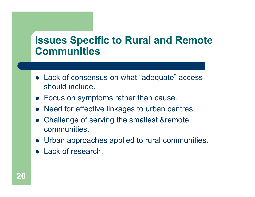#### **Issues Specific to Rural and Remote Communities**

- Lack of consensus on what "adequate" access should include.
- Focus on symptoms rather than cause.
- Need for effective linkages to urban centres.
- $\bullet$  Challenge of serving the smallest &remote communities.
- Urban approaches applied to rural communities.
- Lack of research.